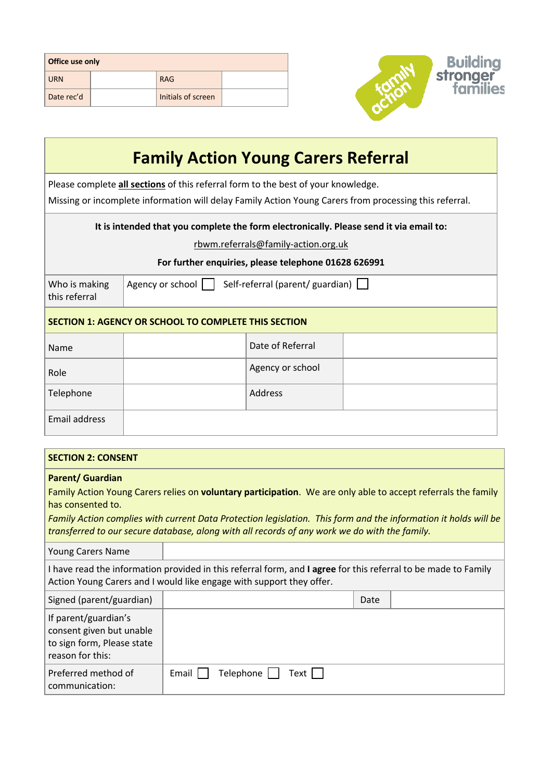| Office use only |  |                    |  |  |
|-----------------|--|--------------------|--|--|
| <b>URN</b>      |  | <b>RAG</b>         |  |  |
| Date rec'd      |  | Initials of screen |  |  |



| <b>Family Action Young Carers Referral</b>                                                                                                                                                  |                                                             |                  |  |  |  |
|---------------------------------------------------------------------------------------------------------------------------------------------------------------------------------------------|-------------------------------------------------------------|------------------|--|--|--|
| Please complete all sections of this referral form to the best of your knowledge.<br>Missing or incomplete information will delay Family Action Young Carers from processing this referral. |                                                             |                  |  |  |  |
| It is intended that you complete the form electronically. Please send it via email to:<br>rbwm.referrals@family-action.org.uk<br>For further enquiries, please telephone 01628 626991       |                                                             |                  |  |  |  |
| Who is making<br>this referral                                                                                                                                                              | Agency or school    <br>Self-referral (parent/ guardian)    |                  |  |  |  |
|                                                                                                                                                                                             | <b>SECTION 1: AGENCY OR SCHOOL TO COMPLETE THIS SECTION</b> |                  |  |  |  |
| Name                                                                                                                                                                                        |                                                             | Date of Referral |  |  |  |
| Role                                                                                                                                                                                        |                                                             | Agency or school |  |  |  |
| Telephone                                                                                                                                                                                   |                                                             | Address          |  |  |  |
| <b>Email address</b>                                                                                                                                                                        |                                                             |                  |  |  |  |

## **SECTION 2: CONSENT**

## **Parent/ Guardian**

Family Action Young Carers relies on **voluntary participation**. We are only able to accept referrals the family has consented to.

*Family Action complies with current Data Protection legislation. This form and the information it holds will be transferred to our secure database, along with all records of any work we do with the family.*

| <b>Young Carers Name</b> |  |
|--------------------------|--|
|                          |  |

I have read the information provided in this referral form, and **I agree** for this referral to be made to Family Action Young Carers and I would like engage with support they offer.

| Signed (parent/guardian)                                                                           |                                       | Date |  |
|----------------------------------------------------------------------------------------------------|---------------------------------------|------|--|
| If parent/guardian's<br>consent given but unable<br>to sign form, Please state<br>reason for this: |                                       |      |  |
| Preferred method of<br>communication:                                                              | Telephone $\Box$ Text $\Box$<br>Email |      |  |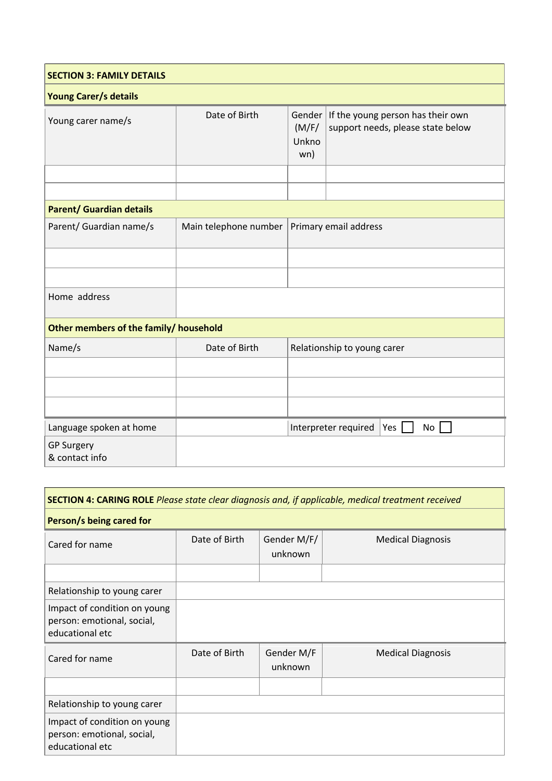| <b>SECTION 3: FAMILY DETAILS</b>                               |                                              |                                                                                                           |  |  |  |  |
|----------------------------------------------------------------|----------------------------------------------|-----------------------------------------------------------------------------------------------------------|--|--|--|--|
| <b>Young Carer/s details</b>                                   |                                              |                                                                                                           |  |  |  |  |
| Young carer name/s                                             | Date of Birth                                | If the young person has their own<br>Gender<br>support needs, please state below<br>(M/F/<br>Unkno<br>wn) |  |  |  |  |
|                                                                |                                              |                                                                                                           |  |  |  |  |
|                                                                |                                              |                                                                                                           |  |  |  |  |
| <b>Parent/ Guardian details</b>                                |                                              |                                                                                                           |  |  |  |  |
| Parent/ Guardian name/s                                        | Main telephone number                        | Primary email address                                                                                     |  |  |  |  |
|                                                                |                                              |                                                                                                           |  |  |  |  |
|                                                                |                                              |                                                                                                           |  |  |  |  |
| Home address                                                   |                                              |                                                                                                           |  |  |  |  |
| Other members of the family/ household                         |                                              |                                                                                                           |  |  |  |  |
| Name/s                                                         | Date of Birth<br>Relationship to young carer |                                                                                                           |  |  |  |  |
|                                                                |                                              |                                                                                                           |  |  |  |  |
|                                                                |                                              |                                                                                                           |  |  |  |  |
|                                                                |                                              |                                                                                                           |  |  |  |  |
| Interpreter required<br>Language spoken at home<br>Yes  <br>No |                                              |                                                                                                           |  |  |  |  |
| <b>GP Surgery</b><br>& contact info                            |                                              |                                                                                                           |  |  |  |  |

| SECTION 4: CARING ROLE Please state clear diagnosis and, if applicable, medical treatment received |               |                        |                          |  |  |  |
|----------------------------------------------------------------------------------------------------|---------------|------------------------|--------------------------|--|--|--|
| Person/s being cared for                                                                           |               |                        |                          |  |  |  |
| Cared for name                                                                                     | Date of Birth | Gender M/F/<br>unknown | <b>Medical Diagnosis</b> |  |  |  |
|                                                                                                    |               |                        |                          |  |  |  |
| Relationship to young carer                                                                        |               |                        |                          |  |  |  |
| Impact of condition on young<br>person: emotional, social,<br>educational etc                      |               |                        |                          |  |  |  |
| Cared for name                                                                                     | Date of Birth | Gender M/F<br>unknown  | <b>Medical Diagnosis</b> |  |  |  |
|                                                                                                    |               |                        |                          |  |  |  |
| Relationship to young carer                                                                        |               |                        |                          |  |  |  |
| Impact of condition on young<br>person: emotional, social,<br>educational etc                      |               |                        |                          |  |  |  |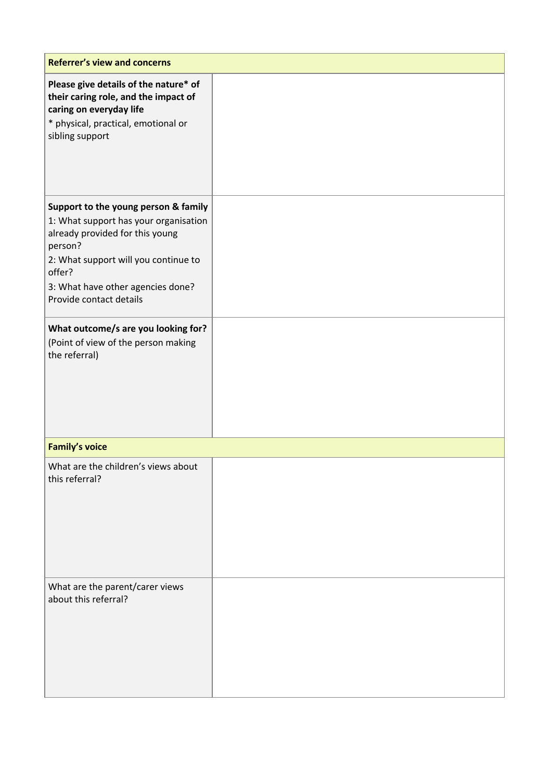| <b>Referrer's view and concerns</b>                                                                                                                                                                                                           |  |  |  |
|-----------------------------------------------------------------------------------------------------------------------------------------------------------------------------------------------------------------------------------------------|--|--|--|
| Please give details of the nature* of<br>their caring role, and the impact of<br>caring on everyday life<br>* physical, practical, emotional or<br>sibling support                                                                            |  |  |  |
| Support to the young person & family<br>1: What support has your organisation<br>already provided for this young<br>person?<br>2: What support will you continue to<br>offer?<br>3: What have other agencies done?<br>Provide contact details |  |  |  |
| What outcome/s are you looking for?<br>(Point of view of the person making<br>the referral)                                                                                                                                                   |  |  |  |
| <b>Family's voice</b>                                                                                                                                                                                                                         |  |  |  |
| What are the children's views about<br>this referral?                                                                                                                                                                                         |  |  |  |
| What are the parent/carer views<br>about this referral?                                                                                                                                                                                       |  |  |  |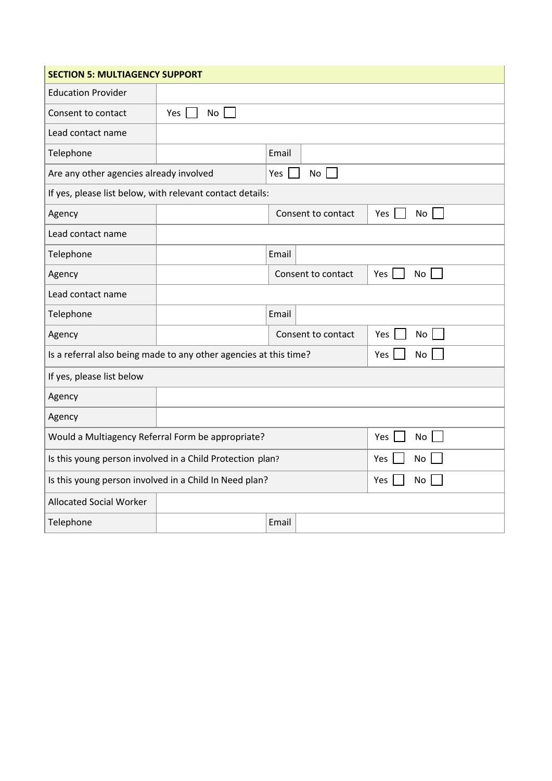| <b>SECTION 5: MULTIAGENCY SUPPORT</b>                                          |                                                           |                    |  |           |  |  |
|--------------------------------------------------------------------------------|-----------------------------------------------------------|--------------------|--|-----------|--|--|
| <b>Education Provider</b>                                                      |                                                           |                    |  |           |  |  |
| Consent to contact                                                             | No<br>Yes                                                 |                    |  |           |  |  |
| Lead contact name                                                              |                                                           |                    |  |           |  |  |
| Telephone                                                                      |                                                           | Email              |  |           |  |  |
| Are any other agencies already involved                                        |                                                           | Yes  <br><b>No</b> |  |           |  |  |
|                                                                                | If yes, please list below, with relevant contact details: |                    |  |           |  |  |
| Agency                                                                         |                                                           | Consent to contact |  | Yes<br>No |  |  |
| Lead contact name                                                              |                                                           |                    |  |           |  |  |
| Telephone                                                                      |                                                           | Email              |  |           |  |  |
| Agency                                                                         |                                                           | Consent to contact |  | No<br>Yes |  |  |
| Lead contact name                                                              |                                                           |                    |  |           |  |  |
| Telephone                                                                      |                                                           | Email              |  |           |  |  |
| Agency                                                                         |                                                           | Consent to contact |  | No<br>Yes |  |  |
| Is a referral also being made to any other agencies at this time?<br>Yes<br>No |                                                           |                    |  |           |  |  |
| If yes, please list below                                                      |                                                           |                    |  |           |  |  |
| Agency                                                                         |                                                           |                    |  |           |  |  |
| Agency                                                                         |                                                           |                    |  |           |  |  |
| Would a Multiagency Referral Form be appropriate?<br>No<br>Yes                 |                                                           |                    |  |           |  |  |
| Is this young person involved in a Child Protection plan?<br>Yes<br>No         |                                                           |                    |  |           |  |  |
| Is this young person involved in a Child In Need plan?<br>Yes<br>No            |                                                           |                    |  |           |  |  |
| <b>Allocated Social Worker</b>                                                 |                                                           |                    |  |           |  |  |
| Telephone                                                                      |                                                           | Email              |  |           |  |  |